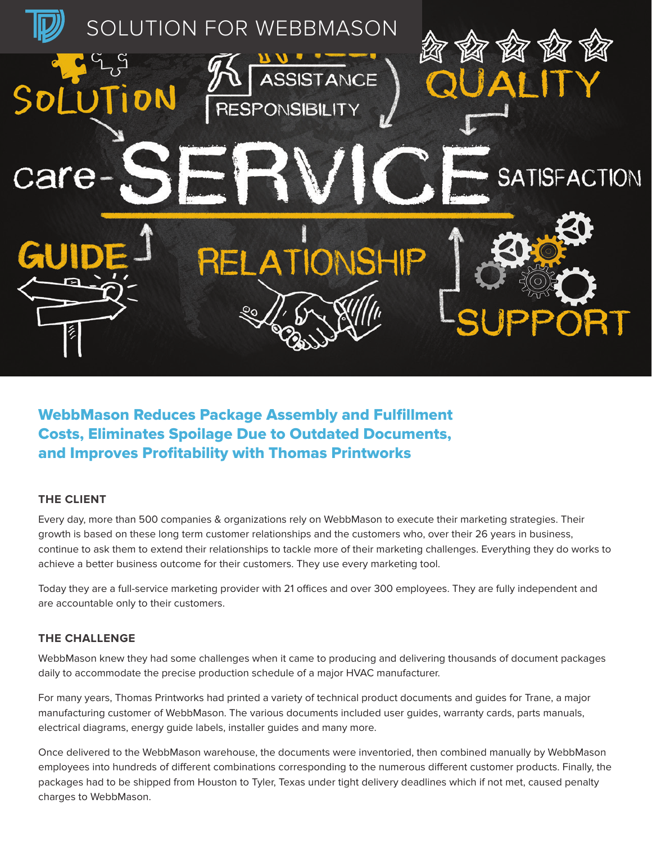

# WebbMason Reduces Package Assembly and Fulfillment Costs, Eliminates Spoilage Due to Outdated Documents, and Improves Profitability with Thomas Printworks

### **THE CLIENT**

Every day, more than 500 companies & organizations rely on WebbMason to execute their marketing strategies. Their growth is based on these long term customer relationships and the customers who, over their 26 years in business, continue to ask them to extend their relationships to tackle more of their marketing challenges. Everything they do works to achieve a better business outcome for their customers. They use every marketing tool.

Today they are a full-service marketing provider with 21 offices and over 300 employees. They are fully independent and are accountable only to their customers.

### **THE CHALLENGE**

WebbMason knew they had some challenges when it came to producing and delivering thousands of document packages daily to accommodate the precise production schedule of a major HVAC manufacturer.

For many years, Thomas Printworks had printed a variety of technical product documents and guides for Trane, a major manufacturing customer of WebbMason. The various documents included user guides, warranty cards, parts manuals, electrical diagrams, energy guide labels, installer guides and many more.

Once delivered to the WebbMason warehouse, the documents were inventoried, then combined manually by WebbMason employees into hundreds of different combinations corresponding to the numerous different customer products. Finally, the packages had to be shipped from Houston to Tyler, Texas under tight delivery deadlines which if not met, caused penalty charges to WebbMason.